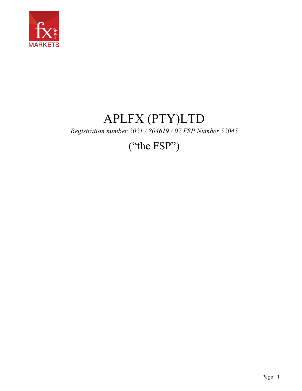

## APLFX (PTY)LTD *Registration number 2021 / 804619 / 07 FSP Number 52045*

## ("the FSP")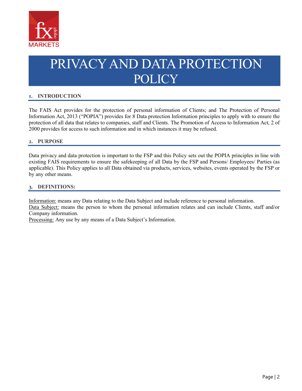

# PRIVACY AND DATA PROTECTION POLICY

## **1. INTRODUCTION**

The FAIS Act provides for the protection of personal information of Clients; and The Protection of Personal Information Act, 2013 ("POPIA") provides for 8 Data protection Information principles to apply with to ensure the protection of all data that relates to companies, staff and Clients. The Promotion of Access to Information Act, 2 of 2000 provides for access to such information and in which instances it may be refused.

#### **2. PURPOSE**

Data privacy and data protection is important to the FSP and this Policy sets out the POPIA principles in line with existing FAIS requirements to ensure the safekeeping of all Data by the FSP and Persons/ Employees/ Parties (as applicable). This Policy applies to all Data obtained via products, services, websites, events operated by the FSP or by any other means.

#### **3. DEFINITIONS:**

Information: means any Data relating to the Data Subject and include reference to personal information.

Data Subject: means the person to whom the personal information relates and can include Clients, staff and/or Company information.

Processing: Any use by any means of a Data Subject's Information.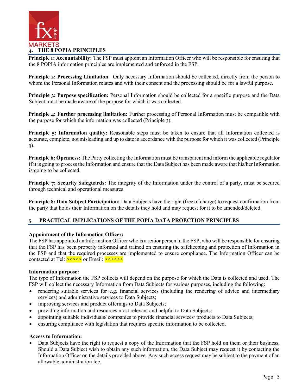

**Principle 1: Accountability:** The FSP must appoint an Information Officer who will be responsible for ensuring that the 8 POPIA information principles are implemented and enforced in the FSP.

**Principle 2: Processing Limitation**: Only necessary Information should be collected, directly from the person to whom the Personal Information relates and with their consent and the processing should be for a lawful purpose.

**Principle 3: Purpose specification:** Personal Information should be collected for a specific purpose and the Data Subject must be made aware of the purpose for which it was collected.

**Principle 4: Further processing limitation:** Further processing of Personal Information must be compatible with the purpose for which the information was collected (Principle 3).

**Principle 5: Information quality:** Reasonable steps must be taken to ensure that all Information collected is accurate, complete, not misleading and up to date in accordance with the purpose for which it was collected (Principle 3).

**Principle 6: Openness:** The Party collecting the Information must be transparent and inform the applicable regulator if it is going to process the Information and ensure that the Data Subject has been made aware that his/her Information is going to be collected.

**Principle 7: Security Safeguards:** The integrity of the Information under the control of a party, must be secured through technical and operational measures.

**Principle 8: Data Subject Participation:** Data Subjects have the right (free of charge) to request confirmation from the party that holds their Information on the details they hold and may request for it to be amended/deleted.

## **5**. **PRACTICAL IMPLICATIONS OF THE POPIA DATA PROECTION PRINCIPLES**

## **Appointment of the Information Officer:**

The FSP has appointed an Information Officer who is a senior person in the FSP, who will be responsible for ensuring that the FSP has been properly informed and trained on ensuring the safekeeping and protection of Information in the FSP and that the required processes are implemented to ensure compliance. The Information Officer can be contacted at Tel:  $\geq \geq \geq$  or Email:  $\geq \geq \leq$ 

## **Information purpose:**

The type of Information the FSP collects will depend on the purpose for which the Data is collected and used. The FSP will collect the necessary Information from Data Subjects for various purposes, including the following:

- rendering suitable services for e.g. financial services (including the rendering of advice and intermediary services) and administrative services to Data Subjects;
- improving services and product offerings to Data Subjects;
- providing information and resources most relevant and helpful to Data Subjects;
- appointing suitable individuals/ companies to provide financial services/ products to Data Subjects;
- ensuring compliance with legislation that requires specific information to be collected.

#### **Access to Information:**

• Data Subjects have the right to request a copy of the Information that the FSP hold on them or their business. Should a Data Subject wish to obtain any such information, the Data Subject may request it by contacting the Information Officer on the details provided above. Any such access request may be subject to the payment of an allowable administration fee.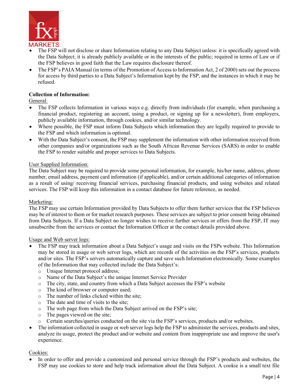

- The FSP will not disclose or share Information relating to any Data Subject unless: it is specifically agreed with the Data Subject; it is already publicly available or in the interests of the public; required in terms of Law or if the FSP believes in good faith that the Law requires disclosure thereof.
- The FSP's PAIA Manual (in terms of the Promotion of Access to Information Act, 2 of 2000) sets out the process for access by third parties to a Data Subject's Information kept by the FSP, and the instances in which it may be refused.

## **Collection of Information:**

General:

- The FSP collects Information in various ways e.g. directly from individuals (for example, when purchasing a financial product, registering an account, using a product, or signing up for a newsletter), from employers, publicly available information, through cookies, and/or similar technology.
- Where possible, the FSP must inform Data Subjects which information they are legally required to provide to the FSP and which information is optional.
- With the Data Subject's consent, the FSP may supplement the information with other information received from other companies and/or organizations such as the South African Revenue Services (SARS) in order to enable the FSP to render suitable and proper services to Data Subjects.

## User Supplied Information:

The Data Subject may be required to provide some personal information, for example, his/her name, address, phone number, email address, payment card information (if applicable), and/or certain additional categories of information as a result of using/ receiving financial services, purchasing financial products, and using websites and related services. The FSP will keep this information in a contact database for future reference, as needed.

## Marketing:

The FSP may use certain Information provided by Data Subjects to offer them further services that the FSP believes may be of interest to them or for market research purposes. These services are subject to prior consent being obtained from Data Subjects. If a Data Subject no longer wishes to receive further services or offers from the FSP, IT may unsubscribe from the services or contact the Information Officer at the contact details provided above.

## Usage and Web server logs:

- The FSP may track information about a Data Subject's usage and visits on the FSPs website. This Information may be stored in usage or web server logs, which are records of the activities on the FSP's services, products and/or sites. The FSP's servers automatically capture and save such Information electronically. Some examples of the Information that may collected include the Data Subject's:
	- o Unique Internet protocol address;
	- o Name of the Data Subject's the unique Internet Service Provider
	- o The city, state, and country from which a Data Subject accesses the FSP's website
	- o The kind of browser or computer used;
	- o The number of links clicked within the site;
	- o The date and time of visits to the site;
	- o The web page from which the Data Subject arrived on the FSP's site;
	- o The pages viewed on the site;
	- o Certain searches/queries conducted on the site via the FSP's services, products and/or websites.
- The information collected in usage or web server logs help the FSP to administer the services, products and sites, analyze its usage, protect the product and/or website and content from inappropriate use and improve the user's experience.

## Cookies:

In order to offer and provide a customized and personal service through the FSP's products and websites, the FSP may use cookies to store and help track information about the Data Subject. A cookie is a small text file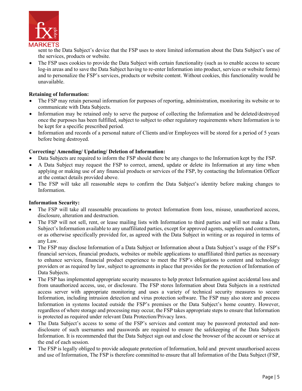

sent to the Data Subject's device that the FSP uses to store limited information about the Data Subject's use of the services, products or website.

• The FSP uses cookies to provide the Data Subject with certain functionality (such as to enable access to secure log-in areas and to save the Data Subject having to re-enter Information into product, services or website forms) and to personalize the FSP's services, products or website content. Without cookies, this functionality would be unavailable.

## **Retaining of Information:**

- The FSP may retain personal information for purposes of reporting, administration, monitoring its website or to communicate with Data Subjects.
- Information may be retained only to serve the purpose of collecting the Information and be deleted/destroyed once the purposes has been fulfilled, subject to subject to other regulatory requirements where Information is to be kept for a specific prescribed period.
- Information and records of a personal nature of Clients and/or Employees will be stored for a period of 5 years before being destroyed.

## **Correcting/ Amending/ Updating/ Deletion of Information:**

- Data Subjects are required to inform the FSP should there be any changes to the Information kept by the FSP.
- A Data Subject may request the FSP to correct, amend, update or delete its Information at any time when applying or making use of any financial products or services of the FSP, by contacting the Information Officer at the contact details provided above.
- The FSP will take all reasonable steps to confirm the Data Subject's identity before making changes to Information.

## **Information Security:**

- The FSP will take all reasonable precautions to protect Information from loss, misuse, unauthorized access, disclosure, alteration and destruction.
- The FSP will not sell, rent, or lease mailing lists with Information to third parties and will not make a Data Subject's Information available to any unaffiliated parties, except for approved agents, suppliers and contractors, or as otherwise specifically provided for, as agreed with the Data Subject in writing or as required in terms of any Law.
- The FSP may disclose Information of a Data Subject or Information about a Data Subject's usage of the FSP's financial services, financial products, websites or mobile applications to unaffiliated third parties as necessary to enhance services, financial product experience to meet the FSP's obligations to content and technology providers or as required by law, subject to agreements in place that provides for the protection of Information of Data Subjects.
- The FSP has implemented appropriate security measures to help protect Information against accidental loss and from unauthorized access, use, or disclosure. The FSP stores Information about Data Subjects in a restricted access server with appropriate monitoring and uses a variety of technical security measures to secure Information, including intrusion detection and virus protection software. The FSP may also store and process Information in systems located outside the FSP's premises or the Data Subject's home country. However, regardless of where storage and processing may occur, the FSP takes appropriate steps to ensure that Information is protected as required under relevant Data Protection/Privacy laws.
- The Data Subject's access to some of the FSP's services and content may be password protected and nondisclosure of such usernames and passwords are required to ensure the safekeeping of the Data Subjects Information. It is recommended that the Data Subject sign out and close the browser of the account or service at the end of each session.
- The FSP is legally obliged to provide adequate protection of Information, hold and prevent unauthorised access and use of Information, The FSP is therefore committed to ensure that all Information of the Data Subject (FSP,